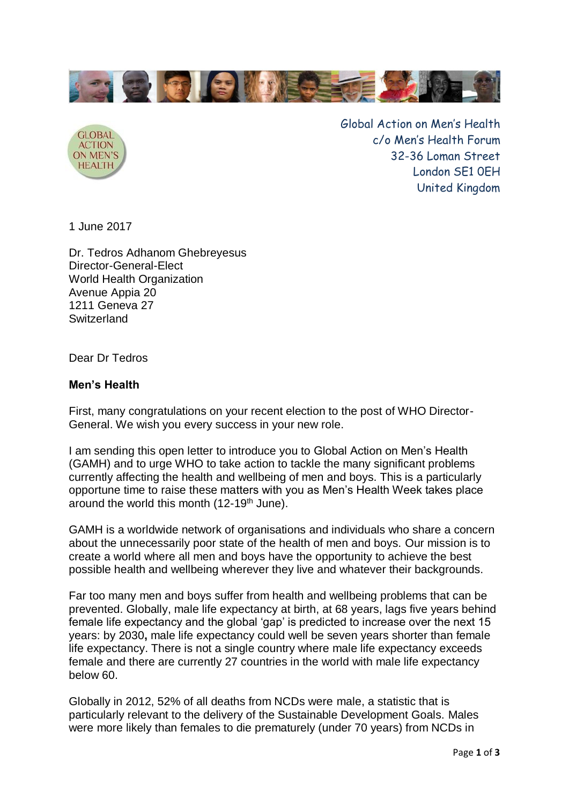



Global Action on Men's Health c/o Men's Health Forum 32-36 Loman Street London SE1 0EH United Kingdom

1 June 2017

Dr. Tedros Adhanom Ghebreyesus Director-General-Elect World Health Organization Avenue Appia 20 1211 Geneva 27 **Switzerland** 

Dear Dr Tedros

## **Men's Health**

First, many congratulations on your recent election to the post of WHO Director-General. We wish you every success in your new role.

I am sending this open letter to introduce you to Global Action on Men's Health (GAMH) and to urge WHO to take action to tackle the many significant problems currently affecting the health and wellbeing of men and boys. This is a particularly opportune time to raise these matters with you as Men's Health Week takes place around the world this month (12-19<sup>th</sup> June).

GAMH is a worldwide network of organisations and individuals who share a concern about the unnecessarily poor state of the health of men and boys. Our mission is to create a world where all men and boys have the opportunity to achieve the best possible health and wellbeing wherever they live and whatever their backgrounds.

Far too many men and boys suffer from health and wellbeing problems that can be prevented. Globally, male life expectancy at birth, at 68 years, lags five years behind female life expectancy and the global 'gap' is predicted to increase over the next 15 years: by 2030**,** male life expectancy could well be seven years shorter than female life expectancy. There is not a single country where male life expectancy exceeds female and there are currently 27 countries in the world with male life expectancy below 60.

Globally in 2012, 52% of all deaths from NCDs were male, a statistic that is particularly relevant to the delivery of the Sustainable Development Goals. Males were more likely than females to die prematurely (under 70 years) from NCDs in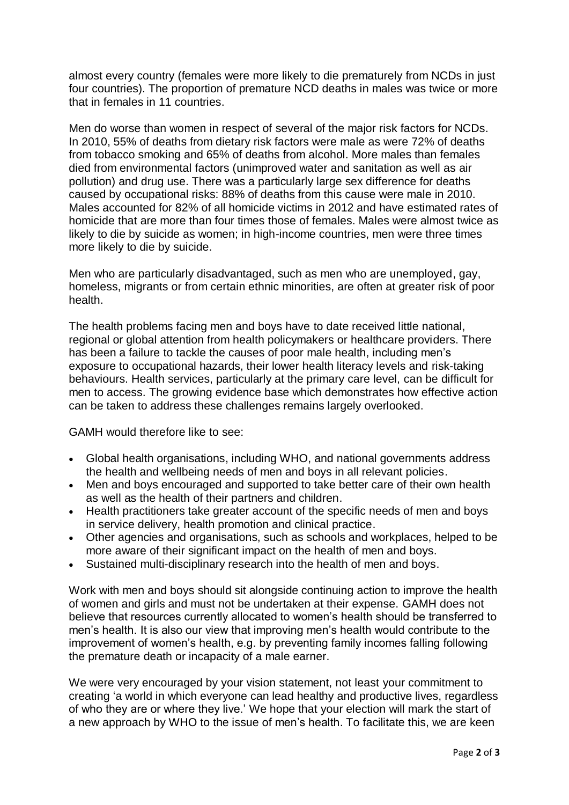almost every country (females were more likely to die prematurely from NCDs in just four countries). The proportion of premature NCD deaths in males was twice or more that in females in 11 countries.

Men do worse than women in respect of several of the major risk factors for NCDs. In 2010, 55% of deaths from dietary risk factors were male as were 72% of deaths from tobacco smoking and 65% of deaths from alcohol. More males than females died from environmental factors (unimproved water and sanitation as well as air pollution) and drug use. There was a particularly large sex difference for deaths caused by occupational risks: 88% of deaths from this cause were male in 2010. Males accounted for 82% of all homicide victims in 2012 and have estimated rates of homicide that are more than four times those of females. Males were almost twice as likely to die by suicide as women; in high-income countries, men were three times more likely to die by suicide.

Men who are particularly disadvantaged, such as men who are unemployed, gay, homeless, migrants or from certain ethnic minorities, are often at greater risk of poor health.

The health problems facing men and boys have to date received little national, regional or global attention from health policymakers or healthcare providers. There has been a failure to tackle the causes of poor male health, including men's exposure to occupational hazards, their lower health literacy levels and risk-taking behaviours. Health services, particularly at the primary care level, can be difficult for men to access. The growing evidence base which demonstrates how effective action can be taken to address these challenges remains largely overlooked.

GAMH would therefore like to see:

- Global health organisations, including WHO, and national governments address the health and wellbeing needs of men and boys in all relevant policies.
- Men and boys encouraged and supported to take better care of their own health as well as the health of their partners and children.
- Health practitioners take greater account of the specific needs of men and boys in service delivery, health promotion and clinical practice.
- Other agencies and organisations, such as schools and workplaces, helped to be more aware of their significant impact on the health of men and boys.
- Sustained multi-disciplinary research into the health of men and boys.

Work with men and boys should sit alongside continuing action to improve the health of women and girls and must not be undertaken at their expense. GAMH does not believe that resources currently allocated to women's health should be transferred to men's health. It is also our view that improving men's health would contribute to the improvement of women's health, e.g. by preventing family incomes falling following the premature death or incapacity of a male earner.

We were very encouraged by your vision statement, not least your commitment to creating 'a world in which everyone can lead healthy and productive lives, regardless of who they are or where they live.' We hope that your election will mark the start of a new approach by WHO to the issue of men's health. To facilitate this, we are keen